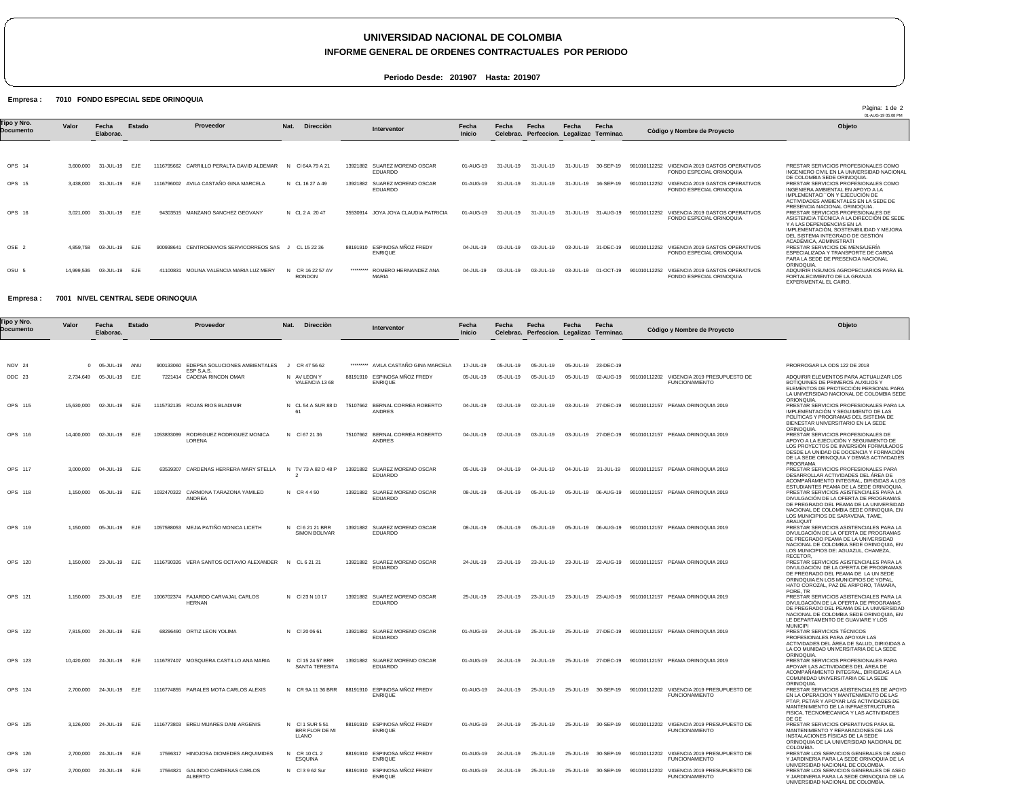# **UNIVERSIDAD NACIONAL DE COLOMBIA**

### **INFORME GENERAL DE ORDENES CONTRACTUALES POR PERIODO**

**Periodo Desde: 201907 Hasta: 201907**

### Empresa : 7010 FONDO ESPECIAL SEDE ORINOQUIA

|                          |            |                    | Pàgina: 1 de 2<br>01-AUG-19 05:08 PM |                                              |                                 |                                                   |                        |           |                                                    |           |                     |                                                                             |                                                                                                                                                                                              |
|--------------------------|------------|--------------------|--------------------------------------|----------------------------------------------|---------------------------------|---------------------------------------------------|------------------------|-----------|----------------------------------------------------|-----------|---------------------|-----------------------------------------------------------------------------|----------------------------------------------------------------------------------------------------------------------------------------------------------------------------------------------|
| Tipo y Nro.<br>Documento | Valor      | Fecha<br>Elaborac. | Estado                               | Proveedor                                    | Nat.<br>Direcciòn               | Interventor                                       | Fecha<br><b>Inicio</b> | Fecha     | Fecha<br>Celebrac. Perfeccion. Legalizac Terminac. | Fecha     | Fecha               | Còdigo y Nombre de Proyecto                                                 | Objeto                                                                                                                                                                                       |
|                          |            |                    |                                      |                                              |                                 |                                                   |                        |           |                                                    |           |                     |                                                                             |                                                                                                                                                                                              |
| OPS 14                   | 3.600.000  | 31-JUL-19          | EJE                                  | CARRILLO PERALTA DAVID ALDEMAR<br>1116795662 | CI 64A 79 A 21                  | SUAREZ MORENO OSCAR<br>13921882<br>EDUARDO        | 01-AUG-19              | 31-JUL-19 | $31 - 111 - 19$                                    | 31-JUL-19 | 30-SEP-19           | VIGENCIA 2019 GASTOS OPERATIVOS<br>901010112252<br>FONDO ESPECIAL ORINOQUIA | PRESTAR SERVICIOS PROFESIONALES COMO<br>INGENIERO CIVIL EN LA UNIVERSIDAD NACIONAL<br>DE COLOMBIA SEDE ORINOQUIA.                                                                            |
| OPS 15                   | 3,438,000  | 31-JUL-19          | <b>EJE</b>                           | 1116796002 AVILA CASTAÑO GINA MARCELA        | N CL 16 27 A 49                 | SUAREZ MORENO OSCAR<br>13921882<br>EDUARDO        | 01-AUG-19              | 31-JUL-19 | 31-JUL-19                                          | 31-JUL-19 | 16-SEP-19           | 901010112252<br>VIGENCIA 2019 GASTOS OPERATIVOS<br>FONDO ESPECIAL ORINOQUIA | PRESTAR SERVICIOS PROFESIONALES COMO<br>INGENIERA AMBIENTAL EN APOYO A LA<br>IMPLEMENTACI "ON Y EJECUCIÓN DE<br>ACTIVIDADES AMBIENTALES EN LA SEDE DE<br>PRESENCIA NACIONAL ORINOQUIA.       |
| OPS 16                   | 3.021.000  | 31-JUL-19          | <b>EJE</b>                           | 94303515 MANZANO SANCHEZ GEOVANY             | N CL 2 A 2047                   | 35530914 JOYA JOYA CLAUDIA PATRICIA               | 01-AUG-19              | 31-JUL-19 | $31 - JUL - 19$                                    |           | 31-JUL-19 31-AUG-19 | 901010112252<br>VIGENCIA 2019 GASTOS OPERATIVOS<br>FONDO ESPECIAL ORINOQUIA | PRESTAR SERVICIOS PROFESIONALES DE<br>ASISTENCIA TÉCNICA A LA DIRECCIÓN DE SEDE<br>Y A LAS DEPENDENCIAS EN LA<br>IMPLEMENTACIÓN, SOSTENIBILIDAD Y MEJORA<br>DEL SISTEMA INTEGRADO DE GESTIÓN |
| OSE <sub>2</sub>         | 4,859,758  | 03-JUL-19          | <b>EJE</b>                           | CENTROENVIOS SERVICORREOS SAS<br>900938641   | CL 15 22 36                     | ESPINOSA MÑOZ FREDY<br>88191910<br><b>ENRIQUE</b> | 04-JUL-19              | 03-JUL-19 | 03-JUL-19                                          | 03-JUL-19 | 31-DEC-19           | VIGENCIA 2019 GASTOS OPERATIVOS<br>901010112252<br>FONDO ESPECIAL ORINOQUIA | ACADÉMICA, ADMINISTRATI<br>PRESTAR SERVICIOS DE MENSAJERÍA<br>ESPECIALIZADA Y TRANSPORTE DE CARGA<br>PARA LA SEDE DE PRESENCIA NACIONAL<br>ORINOQUIA.                                        |
| OSU <sub>5</sub>         | 14.999.536 | 03-JUL-19          | EJE                                  | MOLINA VALENCIA MARIA LUZ MERY<br>4110083    | CR 16 22 57 AV<br><b>RONDON</b> | ROMERO HERNANDEZ ANA<br>*********<br><b>MARIA</b> | 04-JUL-19              | 03-JUL-19 | 03-JUL-19                                          | 03-JUL-19 | 01-OCT-19           | VIGENCIA 2019 GASTOS OPERATIVOS<br>901010112252<br>FONDO ESPECIAL ORINOQUIA | ADQUIRIR INSUMOS AGROPECUARIOS PARA EL<br>FORTALECIMIENTO DE LA GRANJA<br>EXPERIMENTAL EL CAIRO.                                                                                             |

#### Empresa : 7001 NIVEL CENTRAL SEDE ORINOQUIA

| Γipo y Nro.<br>Documento | Valor     | Fecha<br>Elaborac.       | Estado | Proveedor                                              | Nat. | Direcciòn                                  |          | Interventor                                     | Fecha<br><b>Inicio</b> | Fecha     | Fecha<br>Celebrac. Perfeccion. Legalizac Terminac. | Fecha     | Fecha               | Còdigo y Nombre de Proyecto                                                                        | Objeto                                                                                                                                                                                                                                                 |
|--------------------------|-----------|--------------------------|--------|--------------------------------------------------------|------|--------------------------------------------|----------|-------------------------------------------------|------------------------|-----------|----------------------------------------------------|-----------|---------------------|----------------------------------------------------------------------------------------------------|--------------------------------------------------------------------------------------------------------------------------------------------------------------------------------------------------------------------------------------------------------|
|                          |           |                          |        |                                                        |      |                                            |          |                                                 |                        |           |                                                    |           |                     |                                                                                                    |                                                                                                                                                                                                                                                        |
| NOV 24                   |           | 05-JUL-19                | ANU    | 900133060 EDEPSA SOLUCIONES AMBIENTALES                |      | J CR 47 56 62                              |          | ********* AVILA CASTAÑO GINA MARCELA            | 17-JUL-19              | 05-JUL-19 | 05-JUL-19                                          |           | 05-JUL-19 23-DEC-19 |                                                                                                    | PRORROGAR LA ODS 122 DE 2018                                                                                                                                                                                                                           |
| ODC 23                   | 2,734,649 | 05-JUL-19                | EJE    | <b>ESP S.A.S.</b><br>7221414 CADENA RINCON OMAR        |      | N AV LEON Y<br>VALENCIA 1368               |          | 88191910 ESPINOSA MÑOZ FREDY<br><b>ENRIQUE</b>  | 05-JUL-19              | 05-JUL-19 | 05-JUL-19                                          |           |                     | 05-JUL-19   02-AUG-19   901010112202   VIGENCIA   2019   PRESUPUESTO   DE<br><b>FUNCIONAMIENTO</b> | ADQUIRIR ELEMENTOS PARA ACTUALIZAR LOS<br>BOTIQUINES DE PRIMEROS AUXILIOS Y<br>ELEMENTOS DE PROTECCIÓN PERSONAL PARA<br>LA UNIVERSIDAD NACIONAL DE COLOMBIA SEDE                                                                                       |
| OPS 115                  |           | 15,630,000 02-JUL-19     | EJE    | 1115732135 ROJAS RIOS BLADIMIR                         |      | N CL 54 A SUR 88 D                         |          | 75107662 BERNAL CORREA ROBERTO<br><b>ANDRES</b> | 04-JUL-19              | 02-JUL-19 | 02-JUL-19                                          |           | 03-JUL-19 27-DEC-19 | 901010112157 PEAMA ORINOQUIA 2019                                                                  | ORIONQUIA.<br>PRESTAR SERVICIOS PROFESIONALES PARA LA<br>IMPLEMENTACIÓN Y SEGUIMIENTO DE LAS<br>POLÍTICAS Y PROGRAMAS DEL SISTEMA DE<br>BIENESTAR UNIVERSITARIO EN LA SEDE                                                                             |
| OPS 116                  |           | 14,400,000 02-JUL-19     | EJE    | 1053833099 RODRIGUEZ RODRIGUEZ MONICA<br><b>LORENA</b> |      | N CI 67 21 36                              |          | 75107662 BERNAL CORREA ROBERTO<br><b>ANDRES</b> | 04-JUL-19              | 02-JUL-19 | 03-JUL-19                                          |           | 03-JUL-19 27-DEC-19 | 901010112157 PEAMA ORINOQUIA 2019                                                                  | ORINOQUIA.<br>PRESTAR SERVICIOS PROFESIONALES DE<br>APOYO A LA EJECUCIÓN Y SEGUIMIENTO DE<br>LOS PROYECTOS DE INVERSIÓN FORMULADOS<br>DESDE LA UNIDAD DE DOCENCIA Y FORMACIÓN<br>DE LA SEDE ORINOQUIA Y DEMÁS ACTIVIDADES<br>PROGRAMA                  |
| OPS 117                  |           | 3,000,000 04-JUL-19 EJE  |        | 63539307 CARDENAS HERRERA MARY STELLA                  |      | N TV 73 A 82 D 48 P                        |          | 13921882 SUAREZ MORENO OSCAR<br><b>EDUARDO</b>  | $05 - JUIL - 19$       | 04-JUL-19 | 04-JUL-19                                          |           | 04-JUL-19 31-JUL-19 | 901010112157 PEAMA ORINOQUIA 2019                                                                  | PRESTAR SERVICIOS PROFESIONALES PARA<br>DESARROLLAR ACTIVIDADES DEL ÁREA DE<br>ACOMPAÑAMIENTO INTEGRAL, DIRIGIDAS A LOS                                                                                                                                |
| OPS 118                  | 1,150,000 | 05-JUL-19                | EJE    | 1032470322 CARMONA TARAZONA YAMILED<br><b>ANDREA</b>   |      | N CR 4450                                  | 13921882 | SUAREZ MORENO OSCAR<br><b>EDUARDO</b>           | 08-JUL-19              | 05-JUL-19 | 05-JUL-19                                          | 05-JUL-19 | 06-AUG-19           | 901010112157 PEAMA ORINOQUIA 2019                                                                  | ESTUDIANTES PEAMA DE LA SEDE ORINOQUIA.<br>PRESTAR SERVICIOS ASISTENCIALES PARA LA<br>DIVULGACIÓN DE LA OFERTA DE PROGRAMAS<br>DE PREGRADO DEL PEAMA DE LA UNIVERSIDAD<br>NACIONAL DE COLOMBIA SEDE ORINOQUIA, EN<br>LOS MUNICIPIOS DE SARAVENA, TAME, |
| OPS 119                  |           | 1,150,000 05-JUL-19      | EJF    | 1057588053 MEJIA PATIÑO MONICA LICETH                  |      | N CI62121 BRR<br><b>SIMON BOLIVAR</b>      |          | 13921882 SUAREZ MORENO OSCAR<br><b>EDUARDO</b>  | 08-JUL-19              | 05-JUL-19 | 05-JUL-19                                          |           | 05-JUL-19 06-AUG-19 | 901010112157 PEAMA ORINOQUIA 2019                                                                  | ARAUQUIT<br>PRESTAR SERVICIOS ASISTENCIALES PARA LA<br>DIVULGACIÓN DE LA OFERTA DE PROGRAMAS<br>DE PREGRADO PEAMA DE LA UNIVERSIDAD<br>NACIONAL DE COLOMBIA SEDE ORINOQUIA, EN<br>LOS MUNICIPIOS DE: AGUAZUL, CHAMEZA,                                 |
| OPS 120                  |           | 1,150,000 23-JUL-19 EJE  |        | 1116790326 VERA SANTOS OCTAVIO ALEXANDER               |      | N CL 6 21 21                               |          | 13921882 SUAREZ MORENO OSCAR<br><b>EDUARDO</b>  | 24-JUL-19              | 23-JUL-19 | 23-JUL-19                                          |           |                     | 23-JUL-19 22-AUG-19 901010112157 PEAMA ORINOQUIA 2019                                              | RECETOR.<br>PRESTAR SERVICIOS ASISTENCIALES PARA LA<br>DIVULGACIÓN DE LA OFERTA DE PROGRAMAS<br>DE PREGRADO DEL PEAMA DE LA UN SEDE<br>ORINOQUIA EN LOS MUNICIPIOS DE YOPAL,<br>HATO COROZAL, PAZ DE ARIPORO, TÁMARA<br>PORE, TR                       |
| OPS 121                  | 1,150,000 | 23-JUL-19                | EJE    | 1006702374 FAJARDO CARVAJAL CARLOS<br><b>HERNAN</b>    |      | N CI 23 N 10 17                            | 13921882 | SUAREZ MORENO OSCAR<br><b>EDUARDO</b>           | 25-JUL-19              | 23-JUL-19 | 23-JUL-19                                          |           | 23-JUL-19 23-AUG-19 | 901010112157 PEAMA ORINOQUIA 2019                                                                  | PRESTAR SERVICIOS ASISTENCIALES PARA LA<br>DIVULGACIÓN DE LA OFERTA DE PROGRAMAS<br>DE PREGRADO DEL PEAMA DE LA UNIVERSIDAD<br>NACIONAL DE COLOMBIA SEDE ORINOQUIA, EN<br>LE DEPARTAMENTO DE GUAVIARE Y LOS<br><b>MUNICIPI</b>                         |
| OPS 122                  |           | 7,815,000 24-JUL-19 EJE  |        | 68296490 ORTIZ LEON YOLIMA                             |      | N CI 20 06 61                              |          | 13921882 SUAREZ MORENO OSCAR<br><b>EDUARDO</b>  | 01-AUG-19              | 24-JUL-19 | 25-JUL-19                                          |           |                     | 25-JUL-19 27-DEC-19 901010112157 PEAMA ORINOQUIA 2019                                              | PRESTAR SERVICIOS TÉCNICOS<br>PROFESIONALES PARA APOYAR LAS<br>ACTIVIDADES DEL ÁREA DE SALUD, DIRIGIDAS A<br>LA CO MUNIDAD UNIVERSITARIA DE LA SEDE                                                                                                    |
| OPS 123                  |           | 10,420,000 24-JUL-19 EJE |        | 1116787407 MOSQUERA CASTILLO ANA MARIA                 |      | N CI 15 24 57 BRR<br><b>SANTA TERESITA</b> |          | 13921882 SUAREZ MORENO OSCAR<br><b>EDUARDO</b>  | 01-AUG-19              | 24-JUL-19 | 24-JUL-19                                          |           | 25-JUL-19 27-DEC-19 | 901010112157 PEAMA ORINOQUIA 2019                                                                  | ORINOQUIA.<br>PRESTAR SERVICIOS PROFESIONALES PARA<br>APOYAR LAS ACTIVIDADES DEL ÁREA DE<br>ACOMPAÑAMIENTO INTEGRAL, DIRIGIDAS A LA<br>COMUNIDAD UNIVERSITARIA DE LA SEDE                                                                              |
| OPS 124                  |           | 2,700,000 24-JUL-19      | EJE    | 1116774855 PARALES MOTA CARLOS ALEXIS                  |      | N CR 9A 11 36 BRR                          |          | 88191910 ESPINOSA MÑOZ FREDY<br><b>ENRIQUE</b>  | 01-AUG-19              | 24-JUL-19 | 25-JUL-19                                          |           | 25-JUL-19 30-SEP-19 | 901010112202 VIGENCIA 2019 PRESUPUESTO DE<br><b>FUNCIONAMIENTO</b>                                 | ORINOQUIA.<br>PRESTAR SERVICIOS ASISTENCIALES DE APOYC<br>EN LA OPERACION Y MANTENMIENTO DE LAS<br>PTAP, PETAR Y APOYAR LAS ACTIVIDADES DE<br>MANTENIMIENTO DE LA INFRAESTRUCTURA<br>FISICA, TECNOMECANICA Y LAS ACTIVIDADES<br>DE GE                  |
| OPS 125                  |           | 3,126,000 24-JUL-19      | EJE    | 1116773803 EREU MIJARES DANI ARGENIS                   |      | N CI1 SUR 551<br>BRR FLOR DE MI<br>LLANO   |          | 88191910 ESPINOSA MÑOZ FREDY<br><b>ENRIQUE</b>  | 01-AUG-19              | 24-JUL-19 | 25-JUL-19                                          |           | 25-JUL-19 30-SEP-19 | 901010112202 VIGENCIA 2019 PRESUPUESTO DE<br><b>FUNCIONAMIENTO</b>                                 | PRESTAR SERVICIOS OPERATIVOS PARA EL<br>MANTENIMIENTO Y REPARACIONES DE LAS<br>INSTALACIONES FÍSICAS DE LA SEDE<br>ORINOQUIA DE LA UNIVERSIDAD NACIONAL DE<br>COLOMBIA.                                                                                |
| OPS 126                  | 2,700,000 | 24-JUL-19                | EJE    | 17596317 HINOJOSA DIOMEDES ARQUIMIDES                  | N    | CR 10 CL 2<br><b>ESQUINA</b>               | 88191910 | ESPINOSA MÑOZ FREDY<br><b>ENRIQUE</b>           | 01-AUG-19              | 24-JUL-19 | 25-JUL-19                                          | 25-JUL-19 | 30-SEP-19           | VIGENCIA 2019 PRESUPUESTO DE<br>901010112202<br><b>FUNCIONAMIENTO</b>                              | PRESTAR LOS SERVICIOS GENERALES DE ASEO<br>Y JARDINERIA PARA LA SEDE ORINOQUIA DE LA<br>UNIVERSIDAD NACIONAL DE COLOMBIA                                                                                                                               |
| OPS 127                  |           | 2,700,000 24-JUL-19      | EJE    | 17594821 GALINDO CARDENAS CARLOS<br>ALBERTO            |      | N CI3962 Sur                               |          | 88191910 ESPINOSA MÑOZ FREDY<br><b>ENRIQUE</b>  | 01-AUG-19              | 24-JUL-19 | 25-JUL-19                                          |           | 25-JUL-19 30-SEP-19 | 901010112202 VIGENCIA 2019 PRESUPUESTO DE<br><b>FUNCIONAMIENTO</b>                                 | PRESTAR LOS SERVICIOS GENERALES DE ASEO<br>Y JARDINERIA PARA LA SEDE ORINOQUIA DE LA<br>UNIVERSIDAD NACIONAL DE COLOMBIA.                                                                                                                              |